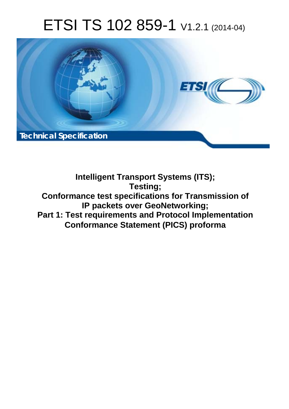# ETSI TS 102 859-1 V1.2.1 (2014-04)



**Intelligent Transport Systems (ITS); Testing; Conformance test specifications for Transmission of IP packets over GeoNetworking; Part 1: Test requirements and Protocol Implementation Conformance Statement (PICS) proforma**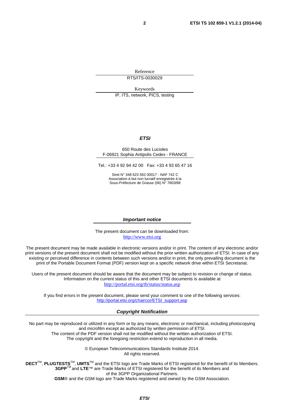Reference RTS/ITS-0030029

Keywords IP, ITS, network, PICS, testing

### *ETSI*

#### 650 Route des Lucioles F-06921 Sophia Antipolis Cedex - FRANCE

Tel.: +33 4 92 94 42 00 Fax: +33 4 93 65 47 16

Siret N° 348 623 562 00017 - NAF 742 C Association à but non lucratif enregistrée à la Sous-Préfecture de Grasse (06) N° 7803/88

#### *Important notice*

The present document can be downloaded from: [http://www.etsi.org](http://www.etsi.org/)

The present document may be made available in electronic versions and/or in print. The content of any electronic and/or print versions of the present document shall not be modified without the prior written authorization of ETSI. In case of any existing or perceived difference in contents between such versions and/or in print, the only prevailing document is the print of the Portable Document Format (PDF) version kept on a specific network drive within ETSI Secretariat.

Users of the present document should be aware that the document may be subject to revision or change of status. Information on the current status of this and other ETSI documents is available at <http://portal.etsi.org/tb/status/status.asp>

If you find errors in the present document, please send your comment to one of the following services: [http://portal.etsi.org/chaircor/ETSI\\_support.asp](http://portal.etsi.org/chaircor/ETSI_support.asp)

#### *Copyright Notification*

No part may be reproduced or utilized in any form or by any means, electronic or mechanical, including photocopying and microfilm except as authorized by written permission of ETSI. The content of the PDF version shall not be modified without the written authorization of ETSI.

The copyright and the foregoing restriction extend to reproduction in all media.

© European Telecommunications Standards Institute 2014. All rights reserved.

**DECT**TM, **PLUGTESTS**TM, **UMTS**TM and the ETSI logo are Trade Marks of ETSI registered for the benefit of its Members. **3GPP**TM and **LTE**™ are Trade Marks of ETSI registered for the benefit of its Members and of the 3GPP Organizational Partners. **GSM**® and the GSM logo are Trade Marks registered and owned by the GSM Association.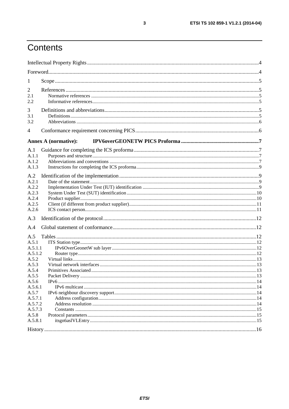# Contents

| $\mathbf{I}$                                                                                                             |                             |  |
|--------------------------------------------------------------------------------------------------------------------------|-----------------------------|--|
| 2<br>2.1<br>2.2                                                                                                          |                             |  |
| 3<br>3.1<br>3.2                                                                                                          |                             |  |
| 4                                                                                                                        |                             |  |
|                                                                                                                          | <b>Annex A (normative):</b> |  |
| A.1<br>A.1.1<br>A.1.2<br>A.1.3                                                                                           |                             |  |
| A.2<br>A.2.1<br>A.2.2<br>A.2.3<br>A.2.4<br>A.2.5                                                                         |                             |  |
| A.2.6                                                                                                                    |                             |  |
| A.3<br>A.4                                                                                                               |                             |  |
| A.5<br>A.5.1<br>A.5.1.1<br>A.5.1.2<br>A.5.2<br>A.5.3<br>A.5.4<br>A 55<br>A.5.6<br>A.5.6.1<br>A.5.7<br>A.5.7.1<br>A.5.7.2 | Packet Delivery             |  |
| A.5.7.3<br>A.5.8<br>A.5.8.1                                                                                              |                             |  |
|                                                                                                                          |                             |  |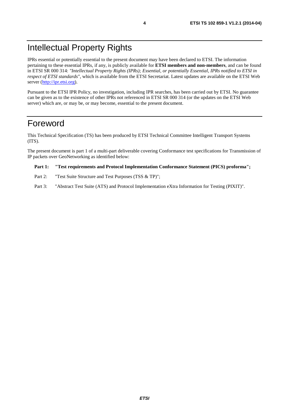# Intellectual Property Rights

IPRs essential or potentially essential to the present document may have been declared to ETSI. The information pertaining to these essential IPRs, if any, is publicly available for **ETSI members and non-members**, and can be found in ETSI SR 000 314: *"Intellectual Property Rights (IPRs); Essential, or potentially Essential, IPRs notified to ETSI in respect of ETSI standards"*, which is available from the ETSI Secretariat. Latest updates are available on the ETSI Web server ([http://ipr.etsi.org\)](http://webapp.etsi.org/IPR/home.asp).

Pursuant to the ETSI IPR Policy, no investigation, including IPR searches, has been carried out by ETSI. No guarantee can be given as to the existence of other IPRs not referenced in ETSI SR 000 314 (or the updates on the ETSI Web server) which are, or may be, or may become, essential to the present document.

## Foreword

This Technical Specification (TS) has been produced by ETSI Technical Committee Intelligent Transport Systems (ITS).

The present document is part 1 of a multi-part deliverable covering Conformance test specifications for Transmission of IP packets over GeoNetworking as identified below:

#### **Part 1: "Test requirements and Protocol Implementation Conformance Statement (PICS) proforma";**

- Part 2: "Test Suite Structure and Test Purposes (TSS & TP)";
- Part 3: "Abstract Test Suite (ATS) and Protocol Implementation eXtra Information for Testing (PIXIT)".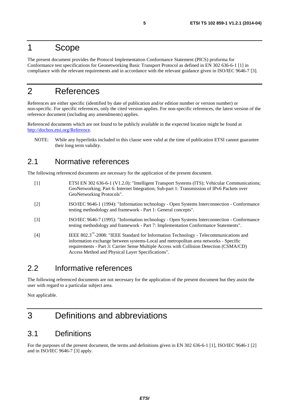### 1 Scope

The present document provides the Protocol Implementation Conformance Statement (PICS) proforma for Conformance test specifications for Geonetworking Basic Transport Protocol as defined in EN 302 636-6-1 [1] in compliance with the relevant requirements and in accordance with the relevant guidance given in ISO/IEC 9646-7 [3].

# 2 References

References are either specific (identified by date of publication and/or edition number or version number) or non-specific. For specific references, only the cited version applies. For non-specific references, the latest version of the reference document (including any amendments) applies.

Referenced documents which are not found to be publicly available in the expected location might be found at [http://docbox.etsi.org/Reference.](http://docbox.etsi.org/Reference)

NOTE: While any hyperlinks included in this clause were valid at the time of publication ETSI cannot guarantee their long term validity.

### 2.1 Normative references

The following referenced documents are necessary for the application of the present document.

- [1] ETSI EN 302 636-6-1 (V1.2.0): "Intelligent Transport Systems (ITS); Vehicular Communications; GeoNetworking; Part 6: Internet Integration; Sub-part 1: Transmission of IPv6 Packets over GeoNetworking Protocols".
- [2] ISO/IEC 9646-1 (1994): "Information technology Open Systems Interconnection Conformance testing methodology and framework - Part 1: General concepts".
- [3] ISO/IEC 9646-7 (1995): "Information technology Open Systems Interconnection Conformance testing methodology and framework - Part 7: Implementation Conformance Statements".
- [4] IEEE 802.3™-2008: "IEEE Standard for Information Technology Telecommunications and information exchange between systems-Local and metropolitan area networks - Specific requirements - Part 3: Carrier Sense Multiple Access with Collision Detection (CSMA/CD) Access Method and Physical Layer Specifications".

### 2.2 Informative references

The following referenced documents are not necessary for the application of the present document but they assist the user with regard to a particular subject area.

Not applicable.

# 3 Definitions and abbreviations

### 3.1 Definitions

For the purposes of the present document, the terms and definitions given in EN 302 636-6-1 [1], ISO/IEC 9646-1 [2] and in ISO/IEC 9646-7 [3] apply.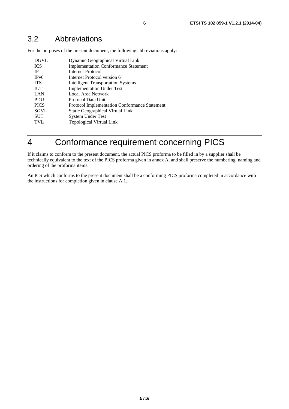For the purposes of the present document, the following abbreviations apply:

| <b>DGVL</b> | Dynamic Geographical Virtual Link                    |
|-------------|------------------------------------------------------|
| <b>ICS</b>  | <b>Implementation Conformance Statement</b>          |
| <b>IP</b>   | Internet Protocol                                    |
| IPv6        | Internet Protocol version 6                          |
| <b>ITS</b>  | <b>Intelligent Transportation Systems</b>            |
| <b>IUT</b>  | <b>Implementation Under Test</b>                     |
| LAN         | Local Area Network                                   |
| <b>PDU</b>  | Protocol Data Unit                                   |
| <b>PICS</b> | <b>Protocol Implementation Conformance Statement</b> |
| <b>SGVL</b> | <b>Static Geographical Virtual Link</b>              |
| <b>SUT</b>  | <b>System Under Test</b>                             |
| <b>TVL</b>  | Topological Virtual Link                             |

# 4 Conformance requirement concerning PICS

If it claims to conform to the present document, the actual PICS proforma to be filled in by a supplier shall be technically equivalent to the text of the PICS proforma given in annex A, and shall preserve the numbering, naming and ordering of the proforma items.

An ICS which conforms to the present document shall be a conforming PICS proforma completed in accordance with the instructions for completion given in clause A.1.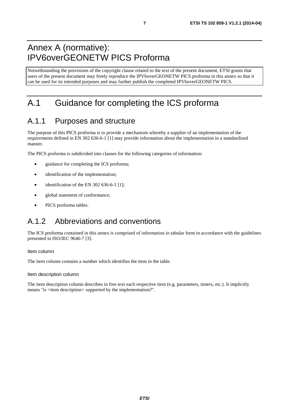# Annex A (normative): IPV6overGEONETW PICS Proforma

Notwithstanding the provisions of the copyright clause related to the text of the present document, ETSI grants that users of the present document may freely reproduce the IPV6overGEONETW PICS proforma in this annex so that it can be used for its intended purposes and may further publish the completed IPV6overGEONETW PICS.

# A.1 Guidance for completing the ICS proforma

# A.1.1 Purposes and structure

The purpose of this PICS proforma is to provide a mechanism whereby a supplier of an implementation of the requirements defined in EN 302 636-6-1 [1] may provide information about the implementation in a standardized manner.

The PICS proforma is subdivided into clauses for the following categories of information:

- guidance for completing the ICS proforma;
- identification of the implementation:
- $\bullet$  identification of the EN 302 636-6-1 [1];
- global statement of conformance;
- PICS proforma tables.

# A.1.2 Abbreviations and conventions

The ICS proforma contained in this annex is comprised of information in tabular form in accordance with the guidelines presented in ISO/IEC 9646-7 [3].

### Item column

The item column contains a number which identifies the item in the table.

Item description column

The item description column describes in free text each respective item (e.g. parameters, timers, etc.). It implicitly means "is <item description> supported by the implementation?".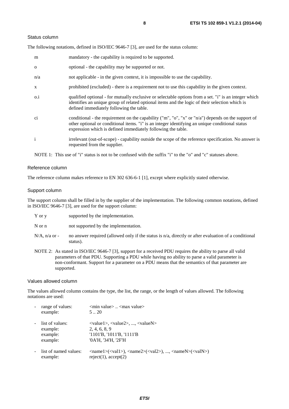#### Status column

The following notations, defined in ISO/IEC 9646-7 [3], are used for the status column:

| m            | mandatory - the capability is required to be supported.                                                                                                                                                                                                               |
|--------------|-----------------------------------------------------------------------------------------------------------------------------------------------------------------------------------------------------------------------------------------------------------------------|
| $\Omega$     | optional - the capability may be supported or not.                                                                                                                                                                                                                    |
| n/a          | not applicable - in the given context, it is impossible to use the capability.                                                                                                                                                                                        |
| $\mathbf{X}$ | prohibited (excluded) - there is a requirement not to use this capability in the given context.                                                                                                                                                                       |
| $0.\dot{1}$  | qualified optional - for mutually exclusive or selectable options from a set. "i" is an integer which<br>identifies an unique group of related optional items and the logic of their selection which is<br>defined immediately following the table.                   |
| ci           | conditional - the requirement on the capability ("m", "o", "x" or "n/a") depends on the support of<br>other optional or conditional items. "i" is an integer identifying an unique conditional status<br>expression which is defined immediately following the table. |
| $\mathbf{i}$ | irrelevant (out-of-scope) - capability outside the scope of the reference specification. No answer is<br>requested from the supplier.                                                                                                                                 |

NOTE 1: This use of "i" status is not to be confused with the suffix "i" to the "o" and "c" statuses above.

### Reference column

The reference column makes reference to EN 302 636-6-1 [1], except where explicitly stated otherwise.

#### Support column

The support column shall be filled in by the supplier of the implementation. The following common notations, defined in ISO/IEC 9646-7 [3], are used for the support column:

|  | $Y$ or $y$ | supported by the implementation. |
|--|------------|----------------------------------|
|--|------------|----------------------------------|

N or n not supported by the implementation.

- $N/A$ , n/a or no answer required (allowed only if the status is n/a, directly or after evaluation of a conditional status).
- NOTE 2: As stated in ISO/IEC 9646-7 [3], support for a received PDU requires the ability to parse all valid parameters of that PDU. Supporting a PDU while having no ability to parse a valid parameter is non-conformant. Support for a parameter on a PDU means that the semantics of that parameter are supported.

#### Values allowed column

The values allowed column contains the type, the list, the range, or the length of values allowed. The following notations are used:

| range of values:<br>example: | $\leq$ min value $>$ $\leq$ max value $>$<br>520                                                                                                                                    |
|------------------------------|-------------------------------------------------------------------------------------------------------------------------------------------------------------------------------------|
| list of values:              | $\langle \text{value1}\rangle, \langle \text{value2}\rangle, , \langle \text{valueN}\rangle$                                                                                        |
| example:                     | 2, 4, 6, 8, 9                                                                                                                                                                       |
| example:                     | '1101'B, '1011'B, '1111'B                                                                                                                                                           |
| example:                     | '0A'H, '34'H, '2F'H                                                                                                                                                                 |
| list of named values:        | $\langle \text{name1}\rangle(\langle \text{val1}\rangle)$ , $\langle \text{name2}\rangle(\langle \text{val2}\rangle)$ , , $\langle \text{nameN}\rangle(\langle \text{valN}\rangle)$ |
| example:                     | reject(1), accept(2)                                                                                                                                                                |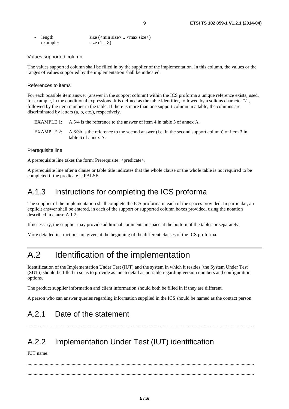| $\sim$ 10 $\pm$ | length:  | size $(\text{min size} > \dots < \text{max size})$ |
|-----------------|----------|----------------------------------------------------|
|                 | example: | size $(1 \ldots 8)$                                |

#### Values supported column

The values supported column shall be filled in by the supplier of the implementation. In this column, the values or the ranges of values supported by the implementation shall be indicated.

#### References to items

For each possible item answer (answer in the support column) within the ICS proforma a unique reference exists, used, for example, in the conditional expressions. It is defined as the table identifier, followed by a solidus character "/", followed by the item number in the table. If there is more than one support column in a table, the columns are discriminated by letters (a, b, etc.), respectively.

- EXAMPLE 1: A.5/4 is the reference to the answer of item 4 in table 5 of annex A.
- EXAMPLE 2: A.6/3b is the reference to the second answer (i.e. in the second support column) of item 3 in table 6 of annex A.

### Prerequisite line

A prerequisite line takes the form: Prerequisite: <predicate>.

A prerequisite line after a clause or table title indicates that the whole clause or the whole table is not required to be completed if the predicate is FALSE.

### A.1.3 Instructions for completing the ICS proforma

The supplier of the implementation shall complete the ICS proforma in each of the spaces provided. In particular, an explicit answer shall be entered, in each of the support or supported column boxes provided, using the notation described in clause A.1.2.

If necessary, the supplier may provide additional comments in space at the bottom of the tables or separately.

More detailed instructions are given at the beginning of the different clauses of the ICS proforma.

# A.2 Identification of the implementation

Identification of the Implementation Under Test (IUT) and the system in which it resides (the System Under Test (SUT)) should be filled in so as to provide as much detail as possible regarding version numbers and configuration options.

The product supplier information and client information should both be filled in if they are different.

A person who can answer queries regarding information supplied in the ICS should be named as the contact person.

.........................................................................................................................................................................................

### A.2.1 Date of the statement

## A.2.2 Implementation Under Test (IUT) identification

IUT name:

 ......................................................................................................................................................................................... .........................................................................................................................................................................................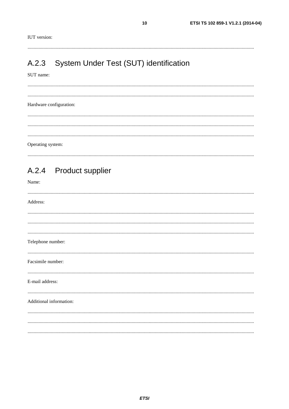$10$ 

#### System Under Test (SUT) identification  $A.2.3$

#### SUT name:

Hardware configuration: Operating system:

#### **Product supplier**  $A.2.4$

Name:

| Address:                |  |  |
|-------------------------|--|--|
|                         |  |  |
|                         |  |  |
|                         |  |  |
| Telephone number:       |  |  |
| Facsimile number:       |  |  |
| E-mail address:         |  |  |
| Additional information: |  |  |
|                         |  |  |
|                         |  |  |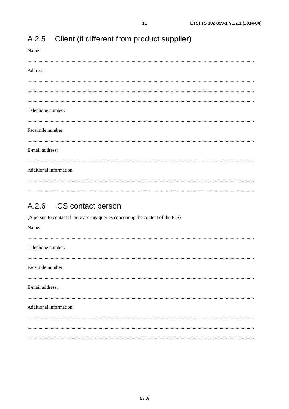| Name:                   |
|-------------------------|
| Address:                |
|                         |
|                         |
|                         |
| Telephone number:       |
| Facsimile number:       |
|                         |
| E-mail address:         |
| Additional information: |
|                         |

#### $A.2.5$ Client (if different from product supplier)

#### $A.2.6$ ICS contact person

(A person to contact if there are any queries concerning the content of the ICS)

| Name:                   |  |
|-------------------------|--|
| Telephone number:       |  |
| Facsimile number:       |  |
| E-mail address:         |  |
| Additional information: |  |
|                         |  |
|                         |  |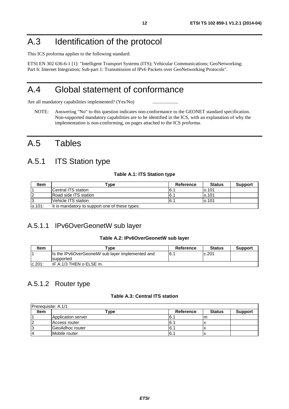# A.3 Identification of the protocol

This ICS proforma applies to the following standard:

ETSI EN 302 636-6-1 [1]: "Intelligent Transport Systems (ITS); Vehicular Communications; GeoNetworking; Part 6: Internet Integration; Sub-part 1: Transmission of IPv6 Packets over GeoNetworking Protocols".

# A.4 Global statement of conformance

Are all mandatory capabilities implemented? (Yes/No) ............................

NOTE: Answering "No" to this question indicates non-conformance to the GEONET standard specification. Non-supported mandatory capabilities are to be identified in the ICS, with an explanation of why the implementation is non-conforming, on pages attached to the ICS proforma.

# A.5 Tables

# A.5.1 ITS Station type

### **Table A.1: ITS Station type**

| <b>Item</b> | $\mathbf{{\color{black} {\mathsf{T}}}}$ vpe    | Reference | <b>Status</b> | <b>Support</b> |
|-------------|------------------------------------------------|-----------|---------------|----------------|
|             | ICentral ITS station                           | 16.       | lo.101        |                |
|             | Road side ITS station                          | 6.1       | lo.101        |                |
|             | Vehicle ITS station                            | 6.        | lo.101        |                |
| lo.101:     | It is mandatory to support one of these types. |           |               |                |

### A.5.1.1 IPv6OverGeonetW sub layer

### **Table A.2: IPv6OverGeonetW sub layer**

| ltem   | "ype                                             | Reference | <b>Status</b> | <b>Support</b> |
|--------|--------------------------------------------------|-----------|---------------|----------------|
|        | Is the IPv6OverGeonetW sub layer implemented and | I6.       | c.201         |                |
|        | supported                                        |           |               |                |
| c.201: | IF A.1/3 THEN o ELSE m.                          |           |               |                |

### A.5.1.2 Router type

### **Table A.3: Central ITS station**

| Prerequisite: A.1/1 |                    |               |               |                |
|---------------------|--------------------|---------------|---------------|----------------|
| <b>Item</b>         | Type               | Reference     | <b>Status</b> | <b>Support</b> |
|                     | Application server | 6.7           | m             |                |
|                     | Access router      | 16.1          |               |                |
|                     | GeoAdhoc router    | <u>16. . </u> |               |                |
|                     | Mobile router      | 6.            |               |                |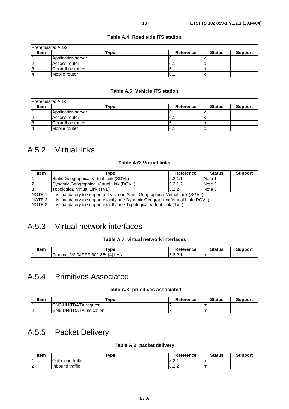| Prerequisite: A.1/2 |                         |           |               |                |  |
|---------------------|-------------------------|-----------|---------------|----------------|--|
| <b>Item</b>         | ▼уре                    | Reference | <b>Status</b> | <b>Support</b> |  |
|                     | Application server      | - 16. .   |               |                |  |
|                     | Access router           | I6.1      |               |                |  |
| 3                   | <b>IGeoAdhoc</b> router | 16.1      | m             |                |  |
|                     | Mobile router           | 6.′       |               |                |  |

### **Table A.4: Road side ITS station**

### **Table A.5: Vehicle ITS station**

| Prerequisite: A.1/3      |                    |           |               |                |  |
|--------------------------|--------------------|-----------|---------------|----------------|--|
| <b>Item</b>              | Гуре               | Reference | <b>Status</b> | <b>Support</b> |  |
|                          | Application server | 6.1       |               |                |  |
|                          | Access router      | 6.        |               |                |  |
|                          | GeoAdhoc router    | 6.        | m             |                |  |
| $\overline{\phantom{a}}$ | Moblie router      | 6.1       |               |                |  |

## A.5.2 Virtual links

### **Table A.6: Virtual links**

| Item | Tvpe                                                                                     | Reference | <b>Status</b> | <b>Support</b> |
|------|------------------------------------------------------------------------------------------|-----------|---------------|----------------|
|      | Static Geographical Virtual Link (SGVL)                                                  | 15.2.1.1  | Note 1        |                |
| 12   | Dynamic Geographical Virtual Link (DGVL)                                                 | 5.2.1.2   | Note 2        |                |
|      | Topological Virtual Link (TVL)                                                           | 5.2.2     | Note 3        |                |
|      | NOTE 1: It is mandatory to support at least one Static Geographical Virtual Link (SGVL). |           |               |                |
|      | NOTE 2: It is mandatory to support exactly one Dynamic Geographical Virtual Link (DGVL). |           |               |                |
|      | NOTE 3: It is mandatory to support exactly one Topological Virtual Link (TVL).           |           |               |                |

### A.5.3 Virtual network interfaces

### **Table A.7: virtual network interfaces**

| <b>Item</b> | <b>ype</b>                                                                                                      | Reference                         | <b>Status</b> |  |
|-------------|-----------------------------------------------------------------------------------------------------------------|-----------------------------------|---------------|--|
|             | --<br>IД <sub>1</sub><br><b>QTM</b><br>AN<br>000<br>$-$<br>N/IFFF<br>— ⊢therne∟.<br>80Z.3<br>$\mathbf{v}$<br>-- | $\overline{\phantom{0}}$<br>-<br> | m             |  |

# A.5.4 Primitives Associated

### **Table A.8: primitives associated**

| Item | 'vpe                     | <b>Reference</b> | <b>Status</b> | Support |
|------|--------------------------|------------------|---------------|---------|
|      | IGN6-UNITDATA.reauest    |                  | m             |         |
| .    | IGN6-UNITDATA.indication |                  |               |         |

## A.5.5 Packet Delivery

### **Table A.9: packet delivery**

| ltem | `vpe                      | <b>Reference</b> | <b>Status</b> | Support |
|------|---------------------------|------------------|---------------|---------|
|      | Outbound traffic          | 8.2.             | Im            |         |
| .    | traffic<br><b>Inbound</b> | 18.2.2           | Im            |         |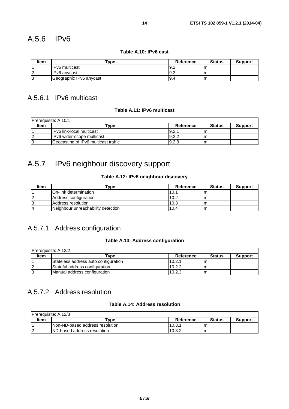**Table A.10: IPv6 cast** 

| <b>Item</b> | Type                    | <b>Reference</b> | <b>Status</b> | <b>Support</b> |
|-------------|-------------------------|------------------|---------------|----------------|
|             | <b>IPv6</b> multicast   | 19.2             |               |                |
|             | IPv6 anvcast            | 19.3             |               |                |
|             | Geographic IPv6 anycast | 9.4              |               |                |

### A.5.6.1 IPv6 multicast

### **Table A.11: IPv6 multicast**

| Prerequisite: A.10/1 |                                      |           |               |                |  |
|----------------------|--------------------------------------|-----------|---------------|----------------|--|
| <b>Item</b>          | $^{\mathsf{T}}$ vpe                  | Reference | <b>Status</b> | <b>Support</b> |  |
|                      | IIPv6 link-local multicast           | 9.2.      |               |                |  |
|                      | IIPv6 wider-scope multicast          | 9.2.2     |               |                |  |
|                      | Geocasting of IPv6 multicast traffic | 9.2.3     | ım            |                |  |

# A.5.7 IPv6 neighbour discovery support

### **Table A.12: IPv6 neighbour discovery**

| ltem | "vpe                               | Reference | <b>Status</b> | <b>Support</b> |
|------|------------------------------------|-----------|---------------|----------------|
|      | IOn-link determination             | 10.       | m             |                |
|      | Address configuration              | 10.2      | m             |                |
|      | Address resolution                 | 10.3      | m             |                |
|      | Neighbour unreachability detection | 10.4      | m             |                |

## A.5.7.1 Address configuration

### **Table A.13: Address configuration**

| Prerequisite: A.12/2 |                                      |           |               |                |  |
|----------------------|--------------------------------------|-----------|---------------|----------------|--|
| <b>Item</b>          | <b>Tvpe</b>                          | Reference | <b>Status</b> | <b>Support</b> |  |
|                      | Stateless address auto configuration | 10.2.1    | m             |                |  |
|                      | Stateful address configuration       | 10.2.2    | ım            |                |  |
|                      | Manual address configuration         | 10.2.3    | lm            |                |  |

### A.5.7.2 Address resolution

### **Table A.14: Address resolution**

| IPrerequisite: A.12/3 |                                  |           |               |                |
|-----------------------|----------------------------------|-----------|---------------|----------------|
| <b>Item</b>           | vpe"                             | Reference | <b>Status</b> | <b>Support</b> |
|                       | INon-ND-based address resolution | 10.3.     | m             |                |
|                       | IND-based address resolution     | 10.3.2    | m             |                |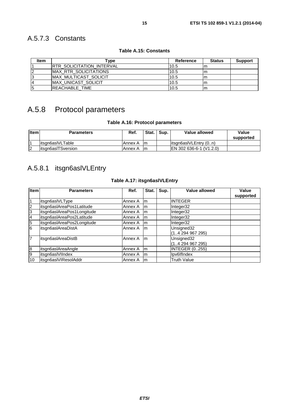### A.5.7.3 Constants

| <b>Item</b>    | vpe]                              | Reference | <b>Status</b> | <b>Support</b> |
|----------------|-----------------------------------|-----------|---------------|----------------|
|                | <b>IRTR SOLICITATION INTERVAL</b> | 10.5      | m             |                |
| $\overline{2}$ | <b>IMAX RTR SOLICITATIONS</b>     | 10.5      | m             |                |
| 3              | <b>IMAX MULTICAST SOLICIT</b>     | 10.5      | lm            |                |
| $\overline{4}$ | MAX_UNICAST_SOLICIT               | 10.5      | Im            |                |
| 5              | <b>REACHABLE TIME</b>             | 10.5      | lm            |                |

### **Table A.15: Constants**

# A.5.8 Protocol parameters

### **Table A.16: Protocol parameters**

| <b>Item</b> | <b>Parameters</b>   | Ref.    | Stat. | Sup. | Value allowed           | Value<br>supported |
|-------------|---------------------|---------|-------|------|-------------------------|--------------------|
|             | litsgn6asIVLTable   | Annex A | Im    |      | litsan6asIVLEntry (0n)  |                    |
| 12          | litsan6aslTSversion | Annex A | Im    |      | EN 302 636-6-1 (V1.2.0) |                    |

## A.5.8.1 itsgn6aslVLEntry

### **Table A.17: itsgn6aslVLEntry**

| <b>Item</b>      | <b>Parameters</b>          | Ref.    | Stat. | Sup. | Value allowed               | Value<br>supported |
|------------------|----------------------------|---------|-------|------|-----------------------------|--------------------|
|                  | itsgn6aslVLType            | Annex A | Im    |      | <b>INTEGER</b>              |                    |
| $\overline{2}$   | itsgn6aslAreaPos1Latitude  | Annex A | Im    |      | Integer32                   |                    |
| 3                | itsgn6aslAreaPos1Longitude | Annex A | Im    |      | Integer32                   |                    |
| $\overline{A}$   | itsgn6aslAreaPos2Latitude  | Annex A | Im    |      | Integer32                   |                    |
| 5                | itsgn6aslAreaPos2Longitude | Annex A | Im    |      | Integer32                   |                    |
| $\overline{6}$   | itsgn6aslAreaDistA         | Annex A | m     |      | Unsigned32<br>(14294967295) |                    |
| 7                | itsgn6aslAreaDistB         | Annex A | m     |      | Unsigned32<br>(14294967295) |                    |
| $\boldsymbol{8}$ | itsgn6aslAreaAngle         | Annex A | Im    |      | <b>INTEGER (0255)</b>       |                    |
| 9                | itsgn6aslVIIndex           | Annex A | Im    |      | Ipv6IfIndex                 |                    |
| 10               | itsgn6aslVIResolAddr       | Annex A | Im    |      | <b>Truth Value</b>          |                    |